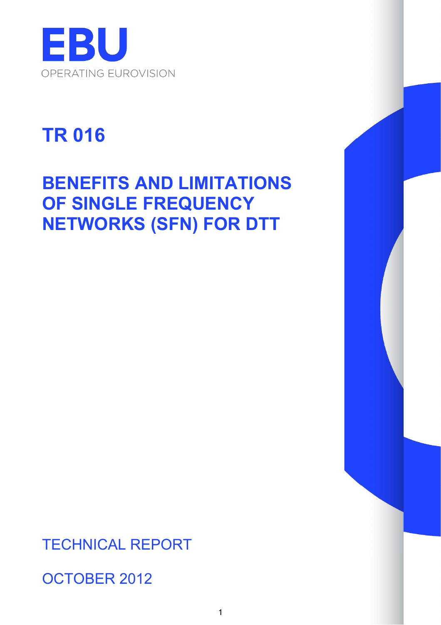

# **TR 016**

# **BENEFITS AND LIMITATIONS OF SINGLE FREQUENCY NETWORKS (SFN) FOR DTT**

TECHNICAL REPORT

OCTOBER 2012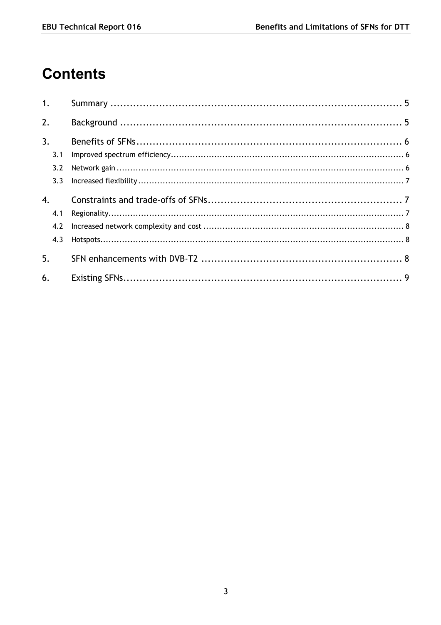# **Contents**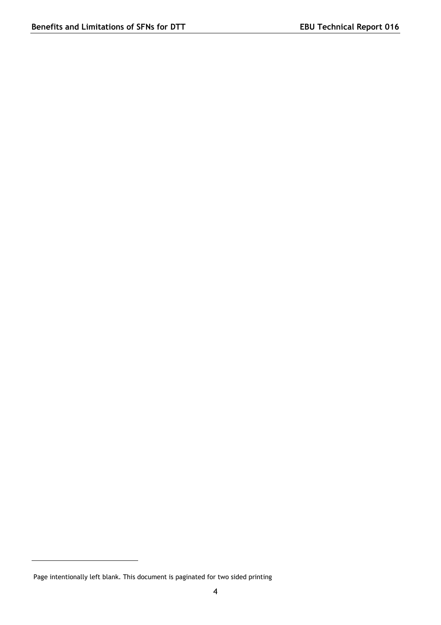$\overline{a}$ 

Page intentionally left blank. This document is paginated for two sided printing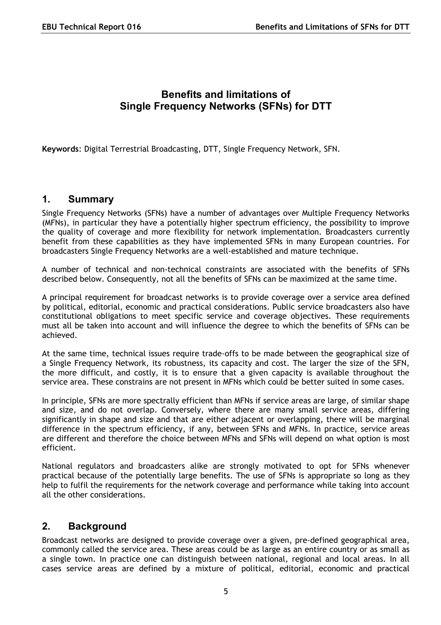# **Benefits and limitations of Single Frequency Networks (SFNs) for DTT**

**Keywords**: Digital Terrestrial Broadcasting, DTT, Single Frequency Network, SFN.

#### <span id="page-4-0"></span>**1. Summary**

Single Frequency Networks (SFNs) have a number of advantages over Multiple Frequency Networks (MFNs), in particular they have a potentially higher spectrum efficiency, the possibility to improve the quality of coverage and more flexibility for network implementation. Broadcasters currently benefit from these capabilities as they have implemented SFNs in many European countries. For broadcasters Single Frequency Networks are a well-established and mature technique.

A number of technical and non-technical constraints are associated with the benefits of SFNs described below. Consequently, not all the benefits of SFNs can be maximized at the same time.

A principal requirement for broadcast networks is to provide coverage over a service area defined by political, editorial, economic and practical considerations. Public service broadcasters also have constitutional obligations to meet specific service and coverage objectives. These requirements must all be taken into account and will influence the degree to which the benefits of SFNs can be achieved.

At the same time, technical issues require trade-offs to be made between the geographical size of a Single Frequency Network, its robustness, its capacity and cost. The larger the size of the SFN, the more difficult, and costly, it is to ensure that a given capacity is available throughout the service area. These constrains are not present in MFNs which could be better suited in some cases.

In principle, SFNs are more spectrally efficient than MFNs if service areas are large, of similar shape and size, and do not overlap. Conversely, where there are many small service areas, differing significantly in shape and size and that are either adjacent or overlapping, there will be marginal difference in the spectrum efficiency, if any, between SFNs and MFNs. In practice, service areas are different and therefore the choice between MFNs and SFNs will depend on what option is most efficient.

National regulators and broadcasters alike are strongly motivated to opt for SFNs whenever practical because of the potentially large benefits. The use of SFNs is appropriate so long as they help to fulfil the requirements for the network coverage and performance while taking into account all the other considerations.

#### <span id="page-4-1"></span>**2. Background**

Broadcast networks are designed to provide coverage over a given, pre-defined geographical area, commonly called the service area. These areas could be as large as an entire country or as small as a single town. In practice one can distinguish between national, regional and local areas. In all cases service areas are defined by a mixture of political, editorial, economic and practical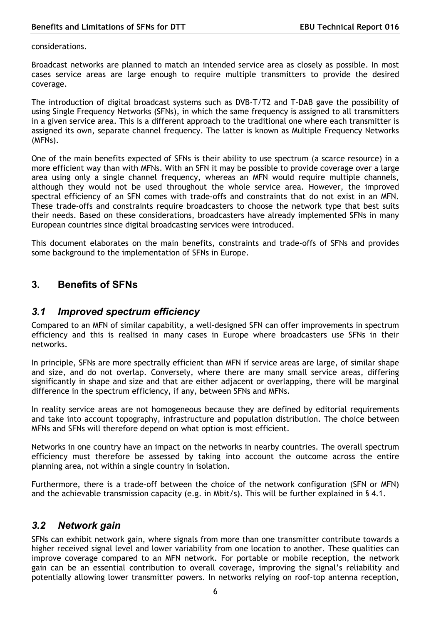considerations.

Broadcast networks are planned to match an intended service area as closely as possible. In most cases service areas are large enough to require multiple transmitters to provide the desired coverage.

The introduction of digital broadcast systems such as DVB-T/T2 and T-DAB gave the possibility of using Single Frequency Networks (SFNs), in which the same frequency is assigned to all transmitters in a given service area. This is a different approach to the traditional one where each transmitter is assigned its own, separate channel frequency. The latter is known as Multiple Frequency Networks (MFNs).

One of the main benefits expected of SFNs is their ability to use spectrum (a scarce resource) in a more efficient way than with MFNs. With an SFN it may be possible to provide coverage over a large area using only a single channel frequency, whereas an MFN would require multiple channels, although they would not be used throughout the whole service area. However, the improved spectral efficiency of an SFN comes with trade-offs and constraints that do not exist in an MFN. These trade-offs and constraints require broadcasters to choose the network type that best suits their needs. Based on these considerations, broadcasters have already implemented SFNs in many European countries since digital broadcasting services were introduced.

This document elaborates on the main benefits, constraints and trade-offs of SFNs and provides some background to the implementation of SFNs in Europe.

# <span id="page-5-0"></span>**3. Benefits of SFNs**

#### <span id="page-5-1"></span>*3.1 Improved spectrum efficiency*

Compared to an MFN of similar capability, a well-designed SFN can offer improvements in spectrum efficiency and this is realised in many cases in Europe where broadcasters use SFNs in their networks.

In principle, SFNs are more spectrally efficient than MFN if service areas are large, of similar shape and size, and do not overlap. Conversely, where there are many small service areas, differing significantly in shape and size and that are either adjacent or overlapping, there will be marginal difference in the spectrum efficiency, if any, between SFNs and MFNs.

In reality service areas are not homogeneous because they are defined by editorial requirements and take into account topography, infrastructure and population distribution. The choice between MFNs and SFNs will therefore depend on what option is most efficient.

Networks in one country have an impact on the networks in nearby countries. The overall spectrum efficiency must therefore be assessed by taking into account the outcome across the entire planning area, not within a single country in isolation.

Furthermore, there is a trade-off between the choice of the network configuration (SFN or MFN) and the achievable transmission capacity (e.g. in Mbit/s). This will be further explained in § 4.1.

#### <span id="page-5-2"></span>*3.2 Network gain*

SFNs can exhibit network gain, where signals from more than one transmitter contribute towards a higher received signal level and lower variability from one location to another. These qualities can improve coverage compared to an MFN network. For portable or mobile reception, the network gain can be an essential contribution to overall coverage, improving the signal's reliability and potentially allowing lower transmitter powers. In networks relying on roof-top antenna reception,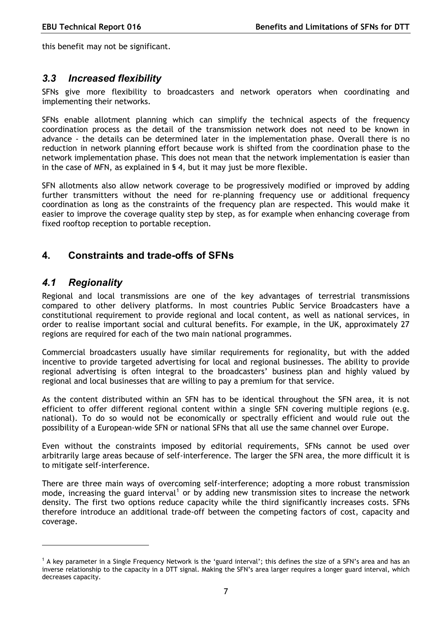this benefit may not be significant.

#### <span id="page-6-0"></span>*3.3 Increased flexibility*

SFNs give more flexibility to broadcasters and network operators when coordinating and implementing their networks.

SFNs enable allotment planning which can simplify the technical aspects of the frequency coordination process as the detail of the transmission network does not need to be known in advance - the details can be determined later in the implementation phase. Overall there is no reduction in network planning effort because work is shifted from the coordination phase to the network implementation phase. This does not mean that the network implementation is easier than in the case of MFN, as explained in § 4, but it may just be more flexible.

SFN allotments also allow network coverage to be progressively modified or improved by adding further transmitters without the need for re-planning frequency use or additional frequency coordination as long as the constraints of the frequency plan are respected. This would make it easier to improve the coverage quality step by step, as for example when enhancing coverage from fixed rooftop reception to portable reception.

## <span id="page-6-1"></span>**4. Constraints and trade-offs of SFNs**

#### <span id="page-6-2"></span>*4.1 Regionality*

 $\overline{a}$ 

Regional and local transmissions are one of the key advantages of terrestrial transmissions compared to other delivery platforms. In most countries Public Service Broadcasters have a constitutional requirement to provide regional and local content, as well as national services, in order to realise important social and cultural benefits. For example, in the UK, approximately 27 regions are required for each of the two main national programmes.

Commercial broadcasters usually have similar requirements for regionality, but with the added incentive to provide targeted advertising for local and regional businesses. The ability to provide regional advertising is often integral to the broadcasters' business plan and highly valued by regional and local businesses that are willing to pay a premium for that service.

As the content distributed within an SFN has to be identical throughout the SFN area, it is not efficient to offer different regional content within a single SFN covering multiple regions (e.g. national). To do so would not be economically or spectrally efficient and would rule out the possibility of a European-wide SFN or national SFNs that all use the same channel over Europe.

Even without the constraints imposed by editorial requirements, SFNs cannot be used over arbitrarily large areas because of self-interference. The larger the SFN area, the more difficult it is to mitigate self-interference.

There are three main ways of overcoming self-interference; adopting a more robust transmission mode, increasing the guard interval<sup>[1](#page-6-3)</sup> or by adding new transmission sites to increase the network density. The first two options reduce capacity while the third significantly increases costs. SFNs therefore introduce an additional trade-off between the competing factors of cost, capacity and coverage.

<span id="page-6-3"></span><sup>&</sup>lt;sup>1</sup> A key parameter in a Single Frequency Network is the 'guard interval'; this defines the size of a SFN's area and has an inverse relationship to the capacity in a DTT signal. Making the SFN's area larger requires a longer guard interval, which decreases capacity.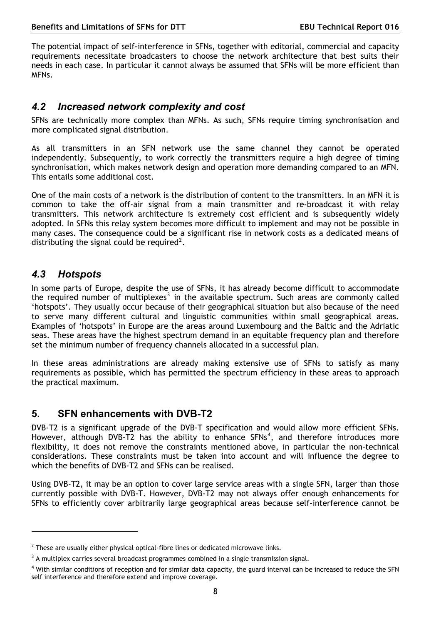The potential impact of self-interference in SFNs, together with editorial, commercial and capacity requirements necessitate broadcasters to choose the network architecture that best suits their needs in each case. In particular it cannot always be assumed that SFNs will be more efficient than MFNs.

#### <span id="page-7-0"></span>*4.2 Increased network complexity and cost*

SFNs are technically more complex than MFNs. As such, SFNs require timing synchronisation and more complicated signal distribution.

As all transmitters in an SFN network use the same channel they cannot be operated independently. Subsequently, to work correctly the transmitters require a high degree of timing synchronisation, which makes network design and operation more demanding compared to an MFN. This entails some additional cost.

One of the main costs of a network is the distribution of content to the transmitters. In an MFN it is common to take the off-air signal from a main transmitter and re-broadcast it with relay transmitters. This network architecture is extremely cost efficient and is subsequently widely adopted. In SFNs this relay system becomes more difficult to implement and may not be possible in many cases. The consequence could be a significant rise in network costs as a dedicated means of distributing the signal could be required<sup>[2](#page-7-3)</sup>.

# <span id="page-7-1"></span>*4.3 Hotspots*

 $\overline{a}$ 

In some parts of Europe, despite the use of SFNs, it has already become difficult to accommodate the required number of multiplexes<sup>[3](#page-7-4)</sup> in the available spectrum. Such areas are commonly called 'hotspots'. They usually occur because of their geographical situation but also because of the need to serve many different cultural and linguistic communities within small geographical areas. Examples of 'hotspots' in Europe are the areas around Luxembourg and the Baltic and the Adriatic seas. These areas have the highest spectrum demand in an equitable frequency plan and therefore set the minimum number of frequency channels allocated in a successful plan.

In these areas administrations are already making extensive use of SFNs to satisfy as many requirements as possible, which has permitted the spectrum efficiency in these areas to approach the practical maximum.

## <span id="page-7-2"></span>**5. SFN enhancements with DVB-T2**

DVB-T2 is a significant upgrade of the DVB-T specification and would allow more efficient SFNs. However, although DVB-T2 has the ability to enhance  $SFNs<sup>4</sup>$  $SFNs<sup>4</sup>$  $SFNs<sup>4</sup>$ , and therefore introduces more flexibility, it does not remove the constraints mentioned above, in particular the non-technical considerations. These constraints must be taken into account and will influence the degree to which the benefits of DVB-T2 and SFNs can be realised.

Using DVB-T2, it may be an option to cover large service areas with a single SFN, larger than those currently possible with DVB-T. However, DVB-T2 may not always offer enough enhancements for SFNs to efficiently cover arbitrarily large geographical areas because self-interference cannot be

<span id="page-7-3"></span> $^2$  These are usually either physical optical-fibre lines or dedicated microwave links.

<span id="page-7-4"></span> $3$  A multiplex carries several broadcast programmes combined in a single transmission signal.

<span id="page-7-5"></span><sup>&</sup>lt;sup>4</sup> With similar conditions of reception and for similar data capacity, the guard interval can be increased to reduce the SFN self interference and therefore extend and improve coverage.